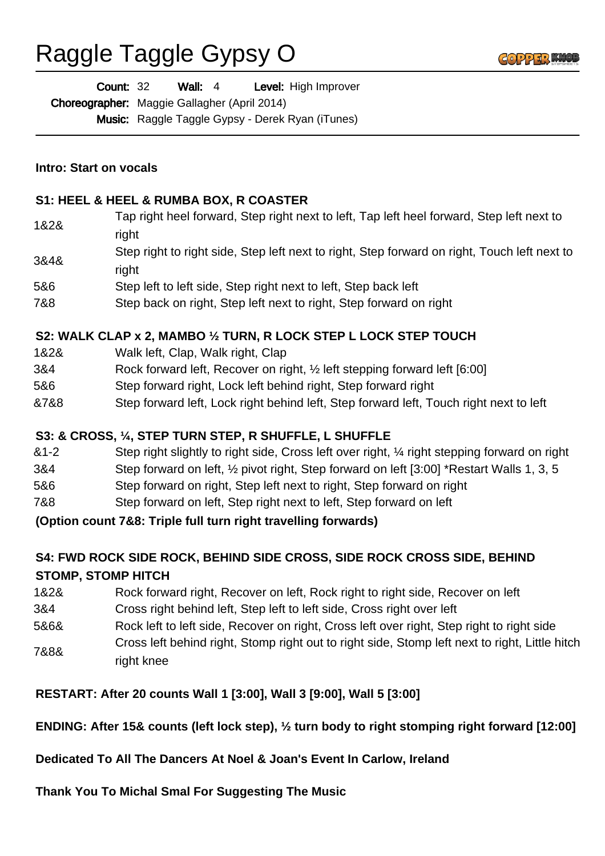# Raggle Taggle Gypsy O



Wall: 4 Level: High Improver Count: 32

Choreographer: Maggie Gallagher (April 2014)

Music: Raggle Taggle Gypsy - Derek Ryan (iTunes)

#### **Intro: Start on vocals**

#### **S1: HEEL & HEEL & RUMBA BOX, R COASTER**

- 1&2& Tap right heel forward, Step right next to left, Tap left heel forward, Step left next to right
- 3&4& Step right to right side, Step left next to right, Step forward on right, Touch left next to right
- 5&6 Step left to left side, Step right next to left, Step back left
- 7&8 Step back on right, Step left next to right, Step forward on right

#### **S2: WALK CLAP x 2, MAMBO ½ TURN, R LOCK STEP L LOCK STEP TOUCH**

- 1&2& Walk left, Clap, Walk right, Clap
- 3&4 Rock forward left, Recover on right, ½ left stepping forward left [6:00]
- 5&6 Step forward right, Lock left behind right, Step forward right
- &7&8 Step forward left, Lock right behind left, Step forward left, Touch right next to left

## **S3: & CROSS, ¼, STEP TURN STEP, R SHUFFLE, L SHUFFLE**

- &1-2 Step right slightly to right side, Cross left over right, ¼ right stepping forward on right
- 3&4 Step forward on left, ½ pivot right, Step forward on left [3:00] \*Restart Walls 1, 3, 5
- 5&6 Step forward on right, Step left next to right, Step forward on right
- 7&8 Step forward on left, Step right next to left, Step forward on left

**(Option count 7&8: Triple full turn right travelling forwards)**

## **S4: FWD ROCK SIDE ROCK, BEHIND SIDE CROSS, SIDE ROCK CROSS SIDE, BEHIND STOMP, STOMP HITCH**

- 1&2& Rock forward right, Recover on left, Rock right to right side, Recover on left
- 3&4 Cross right behind left, Step left to left side, Cross right over left
- 5&6& Rock left to left side, Recover on right, Cross left over right, Step right to right side
- 7&8& Cross left behind right, Stomp right out to right side, Stomp left next to right, Little hitch right knee

## **RESTART: After 20 counts Wall 1 [3:00], Wall 3 [9:00], Wall 5 [3:00]**

## **ENDING: After 15& counts (left lock step), ½ turn body to right stomping right forward [12:00]**

## **Dedicated To All The Dancers At Noel & Joan's Event In Carlow, Ireland**

**Thank You To Michal Smal For Suggesting The Music**